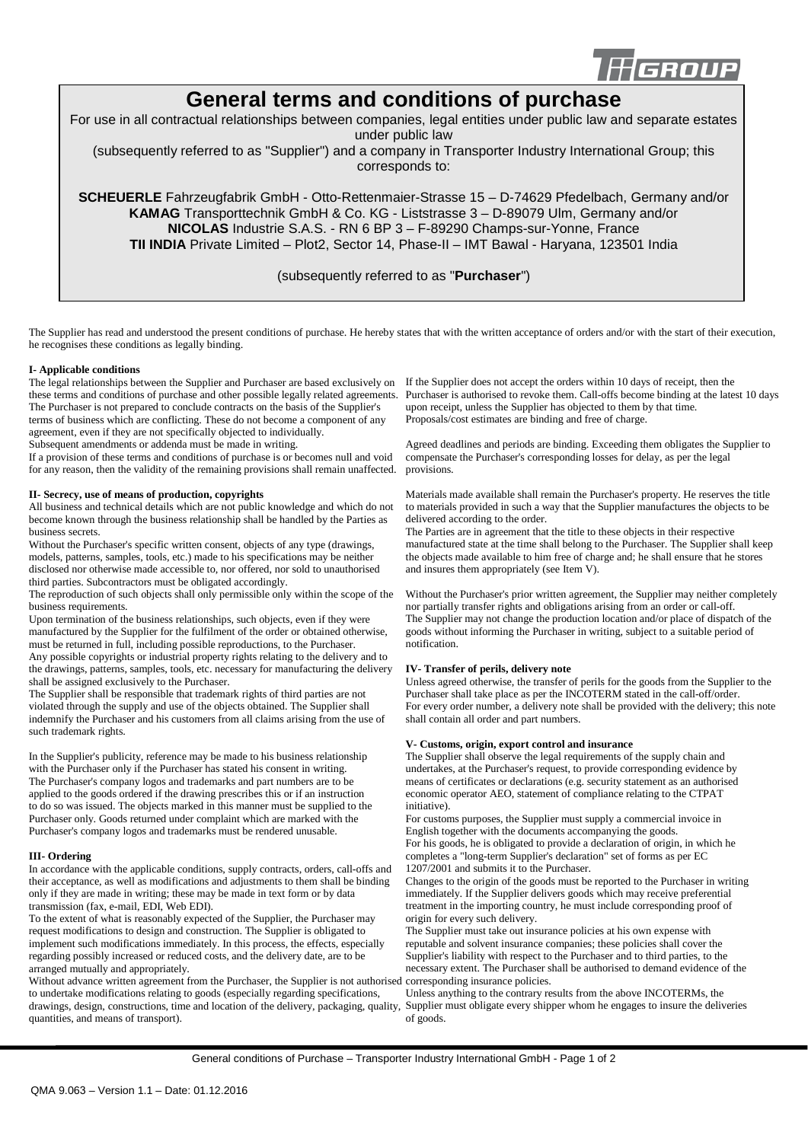

# **General terms and conditions of purchase**

For use in all contractual relationships between companies, legal entities under public law and separate estates

under public law

(subsequently referred to as "Supplier") and a company in Transporter Industry International Group; this corresponds to:

**SCHEUERLE** Fahrzeugfabrik GmbH - Otto-Rettenmaier-Strasse 15 – D-74629 Pfedelbach, Germany and/or **KAMAG** Transporttechnik GmbH & Co. KG - Liststrasse 3 – D-89079 Ulm, Germany and/or **NICOLAS** Industrie S.A.S. - RN 6 BP 3 – F-89290 Champs-sur-Yonne, France **TII INDIA** Private Limited – Plot2, Sector 14, Phase-II – IMT Bawal - Haryana, 123501 India

# (subsequently referred to as "**Purchaser**")

The Supplier has read and understood the present conditions of purchase. He hereby states that with the written acceptance of orders and/or with the start of their execution, he recognises these conditions as legally binding.

# **I- Applicable conditions**

The legal relationships between the Supplier and Purchaser are based exclusively on If the Supplier does not accept the orders within 10 days of receipt, then the these terms and conditions of purchase and other possible legally related agreements. The Purchaser is not prepared to conclude contracts on the basis of the Supplier's terms of business which are conflicting. These do not become a component of any agreement, even if they are not specifically objected to individually. Subsequent amendments or addenda must be made in writing.

If a provision of these terms and conditions of purchase is or becomes null and void for any reason, then the validity of the remaining provisions shall remain unaffected.

#### **II- Secrecy, use of means of production, copyrights**

All business and technical details which are not public knowledge and which do not become known through the business relationship shall be handled by the Parties as business secrets.

Without the Purchaser's specific written consent, objects of any type (drawings, models, patterns, samples, tools, etc.) made to his specifications may be neither disclosed nor otherwise made accessible to, nor offered, nor sold to unauthorised third parties. Subcontractors must be obligated accordingly.

The reproduction of such objects shall only permissible only within the scope of the business requirements.

Upon termination of the business relationships, such objects, even if they were manufactured by the Supplier for the fulfilment of the order or obtained otherwise, must be returned in full, including possible reproductions, to the Purchaser. Any possible copyrights or industrial property rights relating to the delivery and to the drawings, patterns, samples, tools, etc. necessary for manufacturing the delivery shall be assigned exclusively to the Purchaser.

The Supplier shall be responsible that trademark rights of third parties are not violated through the supply and use of the objects obtained. The Supplier shall indemnify the Purchaser and his customers from all claims arising from the use of such trademark rights.

In the Supplier's publicity, reference may be made to his business relationship with the Purchaser only if the Purchaser has stated his consent in writing. The Purchaser's company logos and trademarks and part numbers are to be applied to the goods ordered if the drawing prescribes this or if an instruction to do so was issued. The objects marked in this manner must be supplied to the Purchaser only. Goods returned under complaint which are marked with the Purchaser's company logos and trademarks must be rendered unusable.

#### **III- Ordering**

In accordance with the applicable conditions, supply contracts, orders, call-offs and their acceptance, as well as modifications and adjustments to them shall be binding only if they are made in writing; these may be made in text form or by data transmission (fax, e-mail, EDI, Web EDI).

To the extent of what is reasonably expected of the Supplier, the Purchaser may request modifications to design and construction. The Supplier is obligated to implement such modifications immediately. In this process, the effects, especially regarding possibly increased or reduced costs, and the delivery date, are to be arranged mutually and appropriately.

Without advance written agreement from the Purchaser, the Supplier is not authorised to undertake modifications relating to goods (especially regarding specifications, drawings, design, constructions, time and location of the delivery, packaging, quality, quantities, and means of transport).

Purchaser is authorised to revoke them. Call-offs become binding at the latest 10 days upon receipt, unless the Supplier has objected to them by that time. Proposals/cost estimates are binding and free of charge.

Agreed deadlines and periods are binding. Exceeding them obligates the Supplier to compensate the Purchaser's corresponding losses for delay, as per the legal provisions.

Materials made available shall remain the Purchaser's property. He reserves the title to materials provided in such a way that the Supplier manufactures the objects to be delivered according to the order.

The Parties are in agreement that the title to these objects in their respective manufactured state at the time shall belong to the Purchaser. The Supplier shall keep the objects made available to him free of charge and; he shall ensure that he stores and insures them appropriately (see Item V).

Without the Purchaser's prior written agreement, the Supplier may neither completely nor partially transfer rights and obligations arising from an order or call-off. The Supplier may not change the production location and/or place of dispatch of the goods without informing the Purchaser in writing, subject to a suitable period of notification.

# **IV- Transfer of perils, delivery note**

Unless agreed otherwise, the transfer of perils for the goods from the Supplier to the Purchaser shall take place as per the INCOTERM stated in the call-off/order. For every order number, a delivery note shall be provided with the delivery; this note shall contain all order and part numbers.

# **V- Customs, origin, export control and insurance**

The Supplier shall observe the legal requirements of the supply chain and undertakes, at the Purchaser's request, to provide corresponding evidence by means of certificates or declarations (e.g. security statement as an authorised economic operator AEO, statement of compliance relating to the CTPAT initiative).

For customs purposes, the Supplier must supply a commercial invoice in English together with the documents accompanying the goods.

For his goods, he is obligated to provide a declaration of origin, in which he completes a "long-term Supplier's declaration" set of forms as per EC 1207/2001 and submits it to the Purchaser.

Changes to the origin of the goods must be reported to the Purchaser in writing immediately. If the Supplier delivers goods which may receive preferential treatment in the importing country, he must include corresponding proof of origin for every such delivery.

The Supplier must take out insurance policies at his own expense with reputable and solvent insurance companies; these policies shall cover the Supplier's liability with respect to the Purchaser and to third parties, to the necessary extent. The Purchaser shall be authorised to demand evidence of the corresponding insurance policies.

Unless anything to the contrary results from the above INCOTERMs, the Supplier must obligate every shipper whom he engages to insure the deliveries of goods.